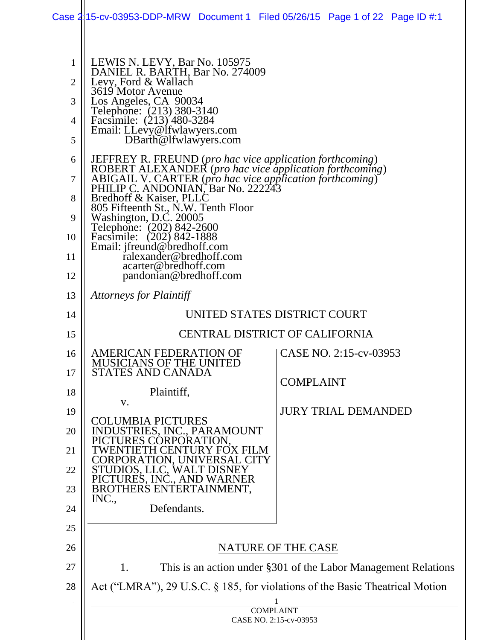|                                    | Case 2115-cv-03953-DDP-MRW Document 1 Filed 05/26/15 Page 1 of 22 Page ID #:1                                                                                                                                                                                                                                                                                                                                                                                                           |                                                                |  |
|------------------------------------|-----------------------------------------------------------------------------------------------------------------------------------------------------------------------------------------------------------------------------------------------------------------------------------------------------------------------------------------------------------------------------------------------------------------------------------------------------------------------------------------|----------------------------------------------------------------|--|
| 1<br>$\overline{2}$<br>3<br>4<br>5 | LEWIS N. LEVY, Bar No. 105975<br>DANIEL R. BARTH, Bar No. 274009<br>Levy, Ford & Wallach<br>3619 Motor Avenue<br>Los Angeles, CA 90034<br>Telephone: (213) 380-3140<br>Facsimile: (213) 480-3284<br>Email: LLevy@lfwlawyers.com<br>DBarth@lfwlawyers.com                                                                                                                                                                                                                                |                                                                |  |
| 6<br>7<br>8<br>9<br>10<br>11<br>12 | JEFFREY R. FREUND (pro hac vice application forthcoming)<br>ROBERT ALEXANDER (pro hac vice application forthcoming)<br>ABIGAIL V. CARTER (pro hac vice application forthcoming)<br>PHILIP C. ANDONIAN, Bar No. 222243<br>Bredhoff & Kaiser, PLLC<br>805 Fifteenth St., N.W. Tenth Floor<br>Washington, D.C. 20005<br>Telephone: (202) 842-2600<br>Facsimile: (202) 842-1888<br>Email: jfreund@bredhoff.com<br>ralexander@bredhoff.com<br>acarter@bredhoff.com<br>pandonian@bredhoff.com |                                                                |  |
| 13                                 | <i>Attorneys for Plaintiff</i>                                                                                                                                                                                                                                                                                                                                                                                                                                                          |                                                                |  |
| 14                                 |                                                                                                                                                                                                                                                                                                                                                                                                                                                                                         | UNITED STATES DISTRICT COURT                                   |  |
| 15                                 | <b>CENTRAL DISTRICT OF CALIFORNIA</b>                                                                                                                                                                                                                                                                                                                                                                                                                                                   |                                                                |  |
| 16<br>17                           | AMERICAN FEDERATION OF<br><b>MUSICIANS OF THE UNITED</b><br>STATES AND CANADA                                                                                                                                                                                                                                                                                                                                                                                                           | CASE NO. 2:15-cv-03953<br><b>COMPLAINT</b>                     |  |
| 18                                 | Plaintiff,<br>V.                                                                                                                                                                                                                                                                                                                                                                                                                                                                        |                                                                |  |
| 19<br>20                           | <b>COLUMBIA PICTURES</b><br>INDUSTRIES, INC., PARAMOUNT<br>CTURES CORPORATION.                                                                                                                                                                                                                                                                                                                                                                                                          | <b>JURY TRIAL DEMANDED</b>                                     |  |
| 21                                 | TWENTIETH CENTURY FOX FILM                                                                                                                                                                                                                                                                                                                                                                                                                                                              |                                                                |  |
| 22                                 | CORPORATION, UNIVERSAL CITY<br>STUDIOS, LLC, WALT DISNEY<br>PICTURES, INC., AND WARNER                                                                                                                                                                                                                                                                                                                                                                                                  |                                                                |  |
| 23                                 | BROTHERS ENTERTAINMENT,<br>INC.,                                                                                                                                                                                                                                                                                                                                                                                                                                                        |                                                                |  |
| 24                                 | Defendants.                                                                                                                                                                                                                                                                                                                                                                                                                                                                             |                                                                |  |
| 25                                 |                                                                                                                                                                                                                                                                                                                                                                                                                                                                                         |                                                                |  |
| 26                                 | NATURE OF THE CASE                                                                                                                                                                                                                                                                                                                                                                                                                                                                      |                                                                |  |
| 27                                 | 1.                                                                                                                                                                                                                                                                                                                                                                                                                                                                                      | This is an action under §301 of the Labor Management Relations |  |
| 28                                 | Act ("LMRA"), 29 U.S.C. § 185, for violations of the Basic Theatrical Motion                                                                                                                                                                                                                                                                                                                                                                                                            |                                                                |  |
|                                    |                                                                                                                                                                                                                                                                                                                                                                                                                                                                                         | <b>COMPLAINT</b><br>CASE NO. 2:15-cv-03953                     |  |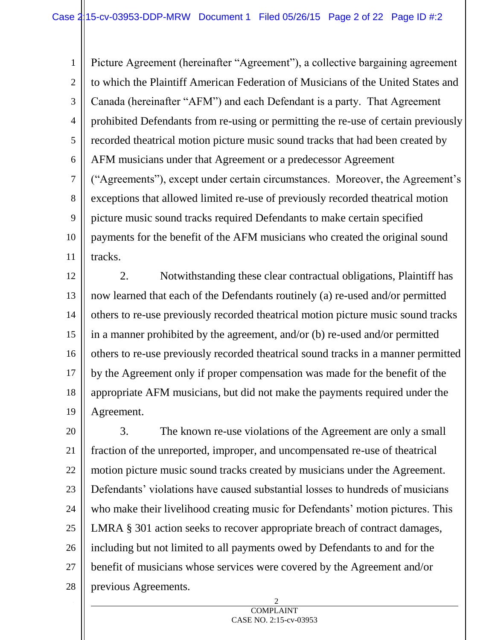1 2 3 4 5 6 7 8 9 10 11 Picture Agreement (hereinafter "Agreement"), a collective bargaining agreement to which the Plaintiff American Federation of Musicians of the United States and Canada (hereinafter "AFM") and each Defendant is a party. That Agreement prohibited Defendants from re-using or permitting the re-use of certain previously recorded theatrical motion picture music sound tracks that had been created by AFM musicians under that Agreement or a predecessor Agreement ("Agreements"), except under certain circumstances. Moreover, the Agreement's exceptions that allowed limited re-use of previously recorded theatrical motion picture music sound tracks required Defendants to make certain specified payments for the benefit of the AFM musicians who created the original sound tracks.

12 13 14 15 16 17 18 19 2. Notwithstanding these clear contractual obligations, Plaintiff has now learned that each of the Defendants routinely (a) re-used and/or permitted others to re-use previously recorded theatrical motion picture music sound tracks in a manner prohibited by the agreement, and/or (b) re-used and/or permitted others to re-use previously recorded theatrical sound tracks in a manner permitted by the Agreement only if proper compensation was made for the benefit of the appropriate AFM musicians, but did not make the payments required under the Agreement.

20 21 22 23 24 25 26 27 28 3. The known re-use violations of the Agreement are only a small fraction of the unreported, improper, and uncompensated re-use of theatrical motion picture music sound tracks created by musicians under the Agreement. Defendants' violations have caused substantial losses to hundreds of musicians who make their livelihood creating music for Defendants' motion pictures. This LMRA § 301 action seeks to recover appropriate breach of contract damages, including but not limited to all payments owed by Defendants to and for the benefit of musicians whose services were covered by the Agreement and/or previous Agreements.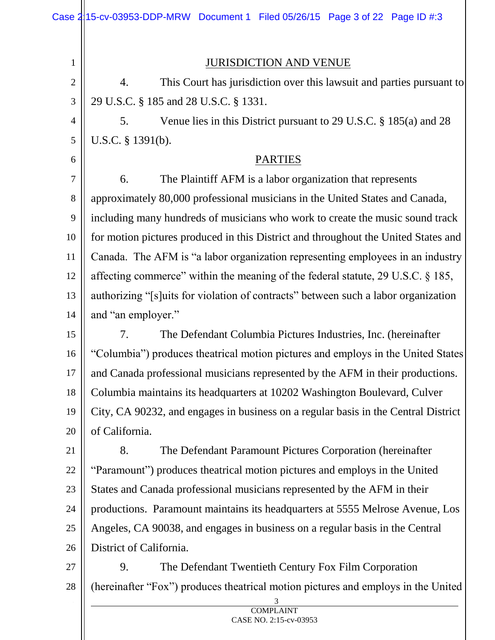|                | Case $2\frac{1}{15}$ -cv-03953-DDP-MRW Document 1 Filed 05/26/15 Page 3 of 22 Page ID #:3 |  |
|----------------|-------------------------------------------------------------------------------------------|--|
| $\mathbf{1}$   | <b>JURISDICTION AND VENUE</b>                                                             |  |
| $\mathbf{2}$   | This Court has jurisdiction over this lawsuit and parties pursuant to<br>4.               |  |
| 3              | 29 U.S.C. § 185 and 28 U.S.C. § 1331.                                                     |  |
| $\overline{4}$ | Venue lies in this District pursuant to 29 U.S.C. § 185(a) and 28<br>5.                   |  |
| $\mathfrak{S}$ | U.S.C. § 1391(b).                                                                         |  |
| 6              | <b>PARTIES</b>                                                                            |  |
| $\overline{7}$ | The Plaintiff AFM is a labor organization that represents<br>6.                           |  |
| 8              | approximately 80,000 professional musicians in the United States and Canada,              |  |
| 9              | including many hundreds of musicians who work to create the music sound track             |  |
| 10             | for motion pictures produced in this District and throughout the United States and        |  |
| 11             | Canada. The AFM is "a labor organization representing employees in an industry            |  |
| 12             | affecting commerce" within the meaning of the federal statute, 29 U.S.C. § 185,           |  |
| 13             | authorizing "[s]uits for violation of contracts" between such a labor organization        |  |
| 14             | and "an employer."                                                                        |  |
| 15             | 7.<br>The Defendant Columbia Pictures Industries, Inc. (hereinafter                       |  |
| 16             | "Columbia") produces theatrical motion pictures and employs in the United States          |  |
| 17             | and Canada professional musicians represented by the AFM in their productions.            |  |
| 18             | Columbia maintains its headquarters at 10202 Washington Boulevard, Culver                 |  |
| 19             | City, CA 90232, and engages in business on a regular basis in the Central District        |  |
| 20             | of California.                                                                            |  |
| 21             | 8.<br>The Defendant Paramount Pictures Corporation (hereinafter                           |  |
| 22             | "Paramount") produces theatrical motion pictures and employs in the United                |  |
| 23             | States and Canada professional musicians represented by the AFM in their                  |  |
| 24             | productions. Paramount maintains its headquarters at 5555 Melrose Avenue, Los             |  |
| 25             | Angeles, CA 90038, and engages in business on a regular basis in the Central              |  |
| 26             | District of California.                                                                   |  |
| 27             | The Defendant Twentieth Century Fox Film Corporation<br>9.                                |  |
| 28             | (hereinafter "Fox") produces theatrical motion pictures and employs in the United         |  |
|                |                                                                                           |  |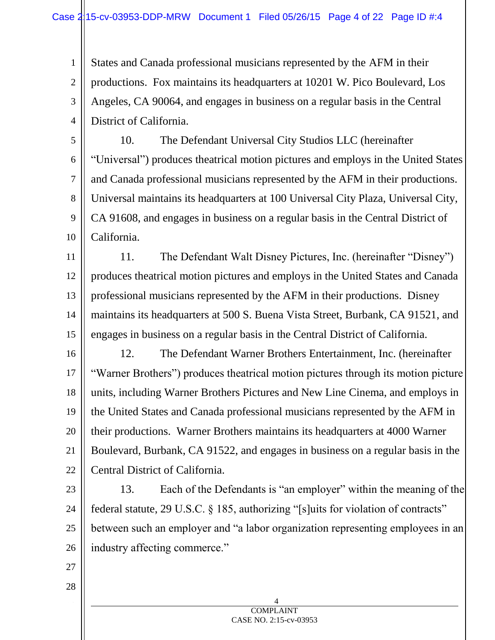States and Canada professional musicians represented by the AFM in their productions. Fox maintains its headquarters at 10201 W. Pico Boulevard, Los Angeles, CA 90064, and engages in business on a regular basis in the Central District of California.

5 6 7 8 9 10 10. The Defendant Universal City Studios LLC (hereinafter "Universal") produces theatrical motion pictures and employs in the United States and Canada professional musicians represented by the AFM in their productions. Universal maintains its headquarters at 100 Universal City Plaza, Universal City, CA 91608, and engages in business on a regular basis in the Central District of California.

11 12 13 14 15 11. The Defendant Walt Disney Pictures, Inc. (hereinafter "Disney") produces theatrical motion pictures and employs in the United States and Canada professional musicians represented by the AFM in their productions. Disney maintains its headquarters at 500 S. Buena Vista Street, Burbank, CA 91521, and engages in business on a regular basis in the Central District of California.

16 17 18 19 20 21 22 12. The Defendant Warner Brothers Entertainment, Inc. (hereinafter "Warner Brothers") produces theatrical motion pictures through its motion picture units, including Warner Brothers Pictures and New Line Cinema, and employs in the United States and Canada professional musicians represented by the AFM in their productions. Warner Brothers maintains its headquarters at 4000 Warner Boulevard, Burbank, CA 91522, and engages in business on a regular basis in the Central District of California.

23 24 25 26 13. Each of the Defendants is "an employer" within the meaning of the federal statute, 29 U.S.C. § 185, authorizing "[s]uits for violation of contracts" between such an employer and "a labor organization representing employees in an industry affecting commerce."

27

28

1

2

3

4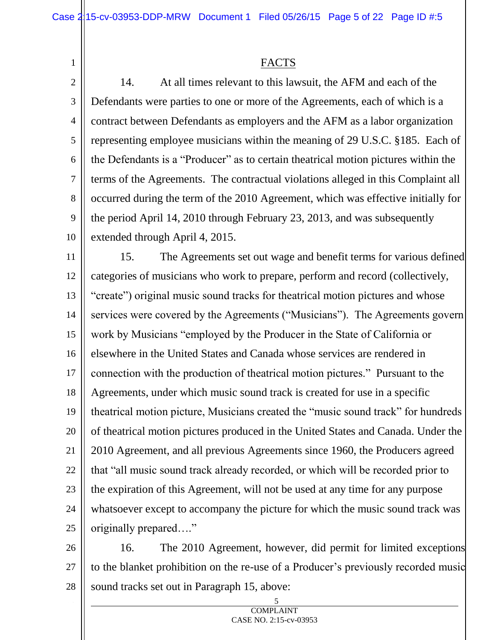1

FACTS

2 3 4 5 6 7 8 9 10 14. At all times relevant to this lawsuit, the AFM and each of the Defendants were parties to one or more of the Agreements, each of which is a contract between Defendants as employers and the AFM as a labor organization representing employee musicians within the meaning of 29 U.S.C. §185. Each of the Defendants is a "Producer" as to certain theatrical motion pictures within the terms of the Agreements. The contractual violations alleged in this Complaint all occurred during the term of the 2010 Agreement, which was effective initially for the period April 14, 2010 through February 23, 2013, and was subsequently extended through April 4, 2015.

11 12 13 14 15 16 17 18 19 20 21 22 23 24 25 15. The Agreements set out wage and benefit terms for various defined categories of musicians who work to prepare, perform and record (collectively, "create") original music sound tracks for theatrical motion pictures and whose services were covered by the Agreements ("Musicians"). The Agreements govern work by Musicians "employed by the Producer in the State of California or elsewhere in the United States and Canada whose services are rendered in connection with the production of theatrical motion pictures." Pursuant to the Agreements, under which music sound track is created for use in a specific theatrical motion picture, Musicians created the "music sound track" for hundreds of theatrical motion pictures produced in the United States and Canada. Under the 2010 Agreement, and all previous Agreements since 1960, the Producers agreed that "all music sound track already recorded, or which will be recorded prior to the expiration of this Agreement, will not be used at any time for any purpose whatsoever except to accompany the picture for which the music sound track was originally prepared…."

26 27 28 16. The 2010 Agreement, however, did permit for limited exceptions to the blanket prohibition on the re-use of a Producer's previously recorded music sound tracks set out in Paragraph 15, above: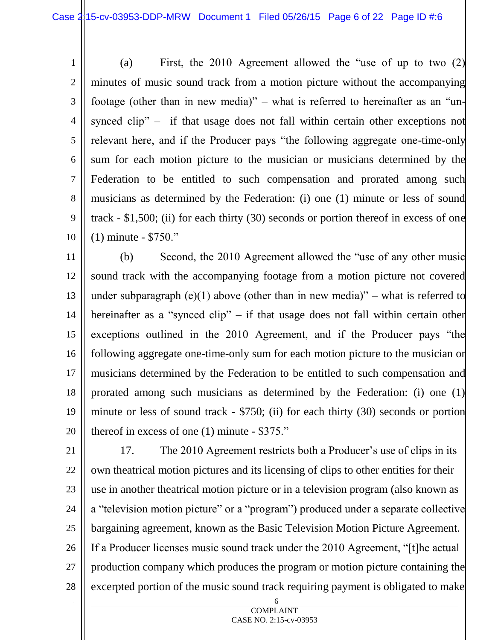1 2 3 4 5 6 7 8 9 10 (a) First, the 2010 Agreement allowed the "use of up to two (2) minutes of music sound track from a motion picture without the accompanying footage (other than in new media)" – what is referred to hereinafter as an "unsynced clip" – if that usage does not fall within certain other exceptions not relevant here, and if the Producer pays "the following aggregate one-time-only sum for each motion picture to the musician or musicians determined by the Federation to be entitled to such compensation and prorated among such musicians as determined by the Federation: (i) one (1) minute or less of sound track - \$1,500; (ii) for each thirty (30) seconds or portion thereof in excess of one (1) minute - \$750."

11 12 13 14 15 16 17 18 19 20 (b) Second, the 2010 Agreement allowed the "use of any other music sound track with the accompanying footage from a motion picture not covered under subparagraph (e)(1) above (other than in new media)" – what is referred to hereinafter as a "synced clip" – if that usage does not fall within certain other exceptions outlined in the 2010 Agreement, and if the Producer pays "the following aggregate one-time-only sum for each motion picture to the musician or musicians determined by the Federation to be entitled to such compensation and prorated among such musicians as determined by the Federation: (i) one (1) minute or less of sound track - \$750; (ii) for each thirty (30) seconds or portion thereof in excess of one (1) minute - \$375."

21

22 23 24 25 26 27 28 17. The 2010 Agreement restricts both a Producer's use of clips in its own theatrical motion pictures and its licensing of clips to other entities for their use in another theatrical motion picture or in a television program (also known as a "television motion picture" or a "program") produced under a separate collective bargaining agreement, known as the Basic Television Motion Picture Agreement. If a Producer licenses music sound track under the 2010 Agreement, "[t]he actual production company which produces the program or motion picture containing the excerpted portion of the music sound track requiring payment is obligated to make

> 6 **COMPLAINT**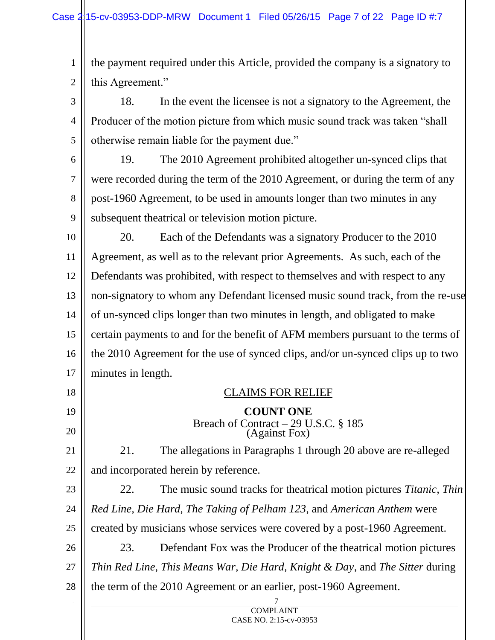1 2 the payment required under this Article, provided the company is a signatory to this Agreement."

3 4 5 18. In the event the licensee is not a signatory to the Agreement, the Producer of the motion picture from which music sound track was taken "shall otherwise remain liable for the payment due."

6 7 8 9 19. The 2010 Agreement prohibited altogether un-synced clips that were recorded during the term of the 2010 Agreement, or during the term of any post-1960 Agreement, to be used in amounts longer than two minutes in any subsequent theatrical or television motion picture.

10 11 12 13 14 15 16 17 20. Each of the Defendants was a signatory Producer to the 2010 Agreement, as well as to the relevant prior Agreements. As such, each of the Defendants was prohibited, with respect to themselves and with respect to any non-signatory to whom any Defendant licensed music sound track, from the re-use of un-synced clips longer than two minutes in length, and obligated to make certain payments to and for the benefit of AFM members pursuant to the terms of the 2010 Agreement for the use of synced clips, and/or un-synced clips up to two minutes in length.

7 18 19 20 21 22 23 24 25 26 27 28 CLAIMS FOR RELIEF **COUNT ONE**  Breach of Contract – 29 U.S.C. § 185 (Against Fox) 21. The allegations in Paragraphs 1 through 20 above are re-alleged and incorporated herein by reference. 22. The music sound tracks for theatrical motion pictures *Titanic, Thin Red Line, Die Hard, The Taking of Pelham 123*, and *American Anthem* were created by musicians whose services were covered by a post-1960 Agreement. 23. Defendant Fox was the Producer of the theatrical motion pictures *Thin Red Line, This Means War, Die Hard, Knight & Day*, and *The Sitter* during the term of the 2010 Agreement or an earlier, post-1960 Agreement.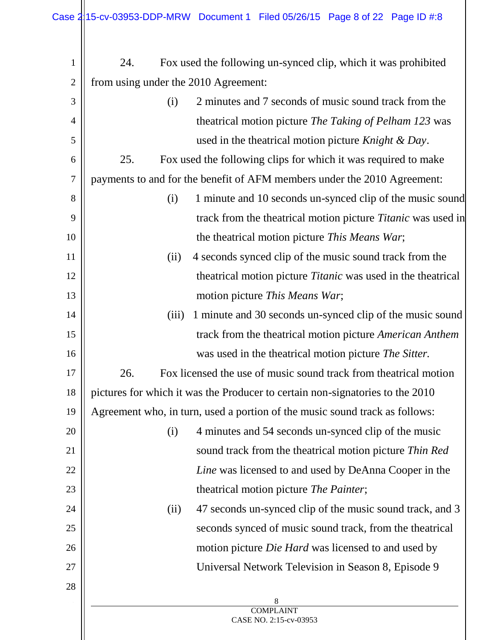| $\mathbf{1}$   | 24.                                                                           | Fox used the following un-synced clip, which it was prohibited      |
|----------------|-------------------------------------------------------------------------------|---------------------------------------------------------------------|
| $\overline{2}$ | from using under the 2010 Agreement:                                          |                                                                     |
| 3              | 2 minutes and 7 seconds of music sound track from the<br>(i)                  |                                                                     |
| 4              |                                                                               | theatrical motion picture <i>The Taking of Pelham 123</i> was       |
| 5              |                                                                               | used in the theatrical motion picture <i>Knight &amp; Day</i> .     |
| 6              | 25.                                                                           | Fox used the following clips for which it was required to make      |
| $\tau$         | payments to and for the benefit of AFM members under the 2010 Agreement:      |                                                                     |
| 8              | (i)                                                                           | 1 minute and 10 seconds un-synced clip of the music sound           |
| 9              |                                                                               | track from the theatrical motion picture <i>Titanic</i> was used in |
| 10             | the theatrical motion picture This Means War;                                 |                                                                     |
| 11             | (ii)                                                                          | 4 seconds synced clip of the music sound track from the             |
| 12             |                                                                               | theatrical motion picture <i>Titanic</i> was used in the theatrical |
| 13             | motion picture This Means War;                                                |                                                                     |
| 14             | (iii)                                                                         | 1 minute and 30 seconds un-synced clip of the music sound           |
| 15             |                                                                               | track from the theatrical motion picture American Anthem            |
| 16             |                                                                               | was used in the theatrical motion picture The Sitter.               |
| 17             | 26.                                                                           | Fox licensed the use of music sound track from the atrical motion   |
| 18             | pictures for which it was the Producer to certain non-signatories to the 2010 |                                                                     |
| 19             | Agreement who, in turn, used a portion of the music sound track as follows:   |                                                                     |
| 20             | (i)                                                                           | 4 minutes and 54 seconds un-synced clip of the music                |
| 21             |                                                                               | sound track from the theatrical motion picture Thin Red             |
| 22             |                                                                               | Line was licensed to and used by DeAnna Cooper in the               |
| 23             |                                                                               | theatrical motion picture The Painter;                              |
| 24             | (ii)                                                                          | 47 seconds un-synced clip of the music sound track, and 3           |
| 25             |                                                                               | seconds synced of music sound track, from the theatrical            |
| 26             |                                                                               | motion picture <i>Die Hard</i> was licensed to and used by          |
| 27             |                                                                               | Universal Network Television in Season 8, Episode 9                 |
| 28             |                                                                               |                                                                     |
|                |                                                                               | 8<br><b>COMPLAINT</b>                                               |
|                |                                                                               | CASE NO. 2:15-cv-03953                                              |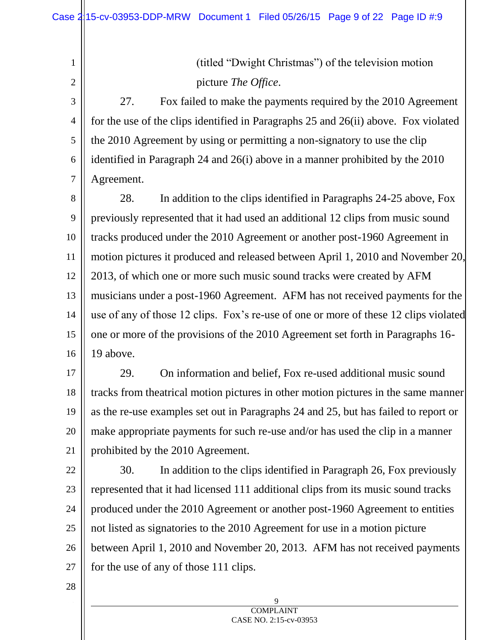(titled "Dwight Christmas") of the television motion picture *The Office*.

3 4 5 6 7 27. Fox failed to make the payments required by the 2010 Agreement for the use of the clips identified in Paragraphs 25 and 26(ii) above. Fox violated the 2010 Agreement by using or permitting a non-signatory to use the clip identified in Paragraph 24 and 26(i) above in a manner prohibited by the 2010 Agreement.

8 9 10 11 12 13 14 15 16 28. In addition to the clips identified in Paragraphs 24-25 above, Fox previously represented that it had used an additional 12 clips from music sound tracks produced under the 2010 Agreement or another post-1960 Agreement in motion pictures it produced and released between April 1, 2010 and November 20, 2013, of which one or more such music sound tracks were created by AFM musicians under a post-1960 Agreement. AFM has not received payments for the use of any of those 12 clips. Fox's re-use of one or more of these 12 clips violated one or more of the provisions of the 2010 Agreement set forth in Paragraphs 16- 19 above.

17 18 19 20 21 29. On information and belief, Fox re-used additional music sound tracks from theatrical motion pictures in other motion pictures in the same manner as the re-use examples set out in Paragraphs 24 and 25, but has failed to report or make appropriate payments for such re-use and/or has used the clip in a manner prohibited by the 2010 Agreement.

22 23 24 25 26 27 30. In addition to the clips identified in Paragraph 26, Fox previously represented that it had licensed 111 additional clips from its music sound tracks produced under the 2010 Agreement or another post-1960 Agreement to entities not listed as signatories to the 2010 Agreement for use in a motion picture between April 1, 2010 and November 20, 2013. AFM has not received payments for the use of any of those 111 clips.

28

1

2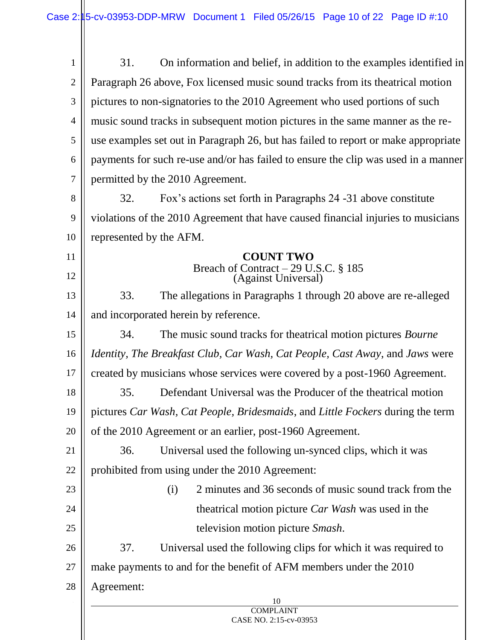| 1              | On information and belief, in addition to the examples identified in<br>31.         |  |  |
|----------------|-------------------------------------------------------------------------------------|--|--|
| $\overline{2}$ | Paragraph 26 above, Fox licensed music sound tracks from its theatrical motion      |  |  |
| 3              | pictures to non-signatories to the 2010 Agreement who used portions of such         |  |  |
| $\overline{4}$ | music sound tracks in subsequent motion pictures in the same manner as the re-      |  |  |
| 5              | use examples set out in Paragraph 26, but has failed to report or make appropriate  |  |  |
| 6              | payments for such re-use and/or has failed to ensure the clip was used in a manner  |  |  |
| 7              | permitted by the 2010 Agreement.                                                    |  |  |
| 8              | 32.<br>Fox's actions set forth in Paragraphs 24 -31 above constitute                |  |  |
| 9              | violations of the 2010 Agreement that have caused financial injuries to musicians   |  |  |
| 10             | represented by the AFM.                                                             |  |  |
| 11             | <b>COUNT TWO</b>                                                                    |  |  |
| 12             | Breach of Contract – 29 U.S.C. § 185<br>(Against Universal)                         |  |  |
| 13             | The allegations in Paragraphs 1 through 20 above are re-alleged<br>33.              |  |  |
| 14             | and incorporated herein by reference.                                               |  |  |
| 15             | The music sound tracks for theatrical motion pictures <i>Bourne</i><br>34.          |  |  |
| 16             | <i>Identity, The Breakfast Club, Car Wash, Cat People, Cast Away, and Jaws were</i> |  |  |
| 17             | created by musicians whose services were covered by a post-1960 Agreement.          |  |  |
| 18             | Defendant Universal was the Producer of the theatrical motion<br>35.                |  |  |
| 19             | pictures Car Wash, Cat People, Bridesmaids, and Little Fockers during the term      |  |  |
| 20             | of the 2010 Agreement or an earlier, post-1960 Agreement.                           |  |  |
| 21             | Universal used the following un-synced clips, which it was<br>36.                   |  |  |
| 22             | prohibited from using under the 2010 Agreement:                                     |  |  |
| 23             | 2 minutes and 36 seconds of music sound track from the<br>(i)                       |  |  |
| 24             | theatrical motion picture <i>Car Wash</i> was used in the                           |  |  |
| 25             | television motion picture Smash.                                                    |  |  |
| 26             | 37.<br>Universal used the following clips for which it was required to              |  |  |
| 27             | make payments to and for the benefit of AFM members under the 2010                  |  |  |
| 28             | Agreement:                                                                          |  |  |
|                | 10<br><b>COMPLAINT</b>                                                              |  |  |

## CASE NO. 2:15-cv-03953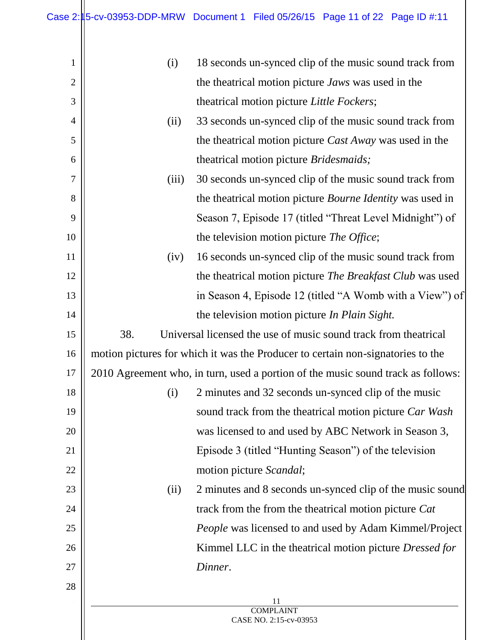| 1              | (i)                                                                              | 18 seconds un-synced clip of the music sound track from          |
|----------------|----------------------------------------------------------------------------------|------------------------------------------------------------------|
| $\overline{2}$ |                                                                                  | the theatrical motion picture <i>Jaws</i> was used in the        |
| 3              |                                                                                  | theatrical motion picture Little Fockers;                        |
| 4              | (ii)                                                                             | 33 seconds un-synced clip of the music sound track from          |
| 5              | the theatrical motion picture <i>Cast Away</i> was used in the                   |                                                                  |
| 6              |                                                                                  | theatrical motion picture <i>Bridesmaids</i> ;                   |
| 7              | (iii)                                                                            | 30 seconds un-synced clip of the music sound track from          |
| 8              |                                                                                  | the theatrical motion picture <i>Bourne Identity</i> was used in |
| 9              |                                                                                  | Season 7, Episode 17 (titled "Threat Level Midnight") of         |
| 10             |                                                                                  | the television motion picture <i>The Office</i> ;                |
| 11             | (iv)                                                                             | 16 seconds un-synced clip of the music sound track from          |
| 12             |                                                                                  | the theatrical motion picture <i>The Breakfast Club</i> was used |
| 13             | in Season 4, Episode 12 (titled "A Womb with a View") of                         |                                                                  |
| 14             |                                                                                  | the television motion picture <i>In Plain Sight</i> .            |
| 15             | 38.                                                                              | Universal licensed the use of music sound track from the atrical |
| 16             | motion pictures for which it was the Producer to certain non-signatories to the  |                                                                  |
| 17             | 2010 Agreement who, in turn, used a portion of the music sound track as follows: |                                                                  |
| 18             | (i)                                                                              | 2 minutes and 32 seconds un-synced clip of the music             |
| 19             |                                                                                  | sound track from the theatrical motion picture Car Wash          |
| 20             |                                                                                  | was licensed to and used by ABC Network in Season 3,             |
| 21             |                                                                                  | Episode 3 (titled "Hunting Season") of the television            |
| 22             |                                                                                  | motion picture Scandal;                                          |
| 23             | (ii)                                                                             | 2 minutes and 8 seconds un-synced clip of the music sound        |
| 24             |                                                                                  | track from the from the theatrical motion picture Cat            |
| 25             |                                                                                  | People was licensed to and used by Adam Kimmel/Project           |
| 26             |                                                                                  | Kimmel LLC in the theatrical motion picture Dressed for          |
| 27             |                                                                                  | Dinner.                                                          |
| 28             |                                                                                  |                                                                  |
|                |                                                                                  | 11<br><b>COMPLAINT</b>                                           |
|                |                                                                                  | CASE NO. 2:15-cv-03953                                           |
|                |                                                                                  |                                                                  |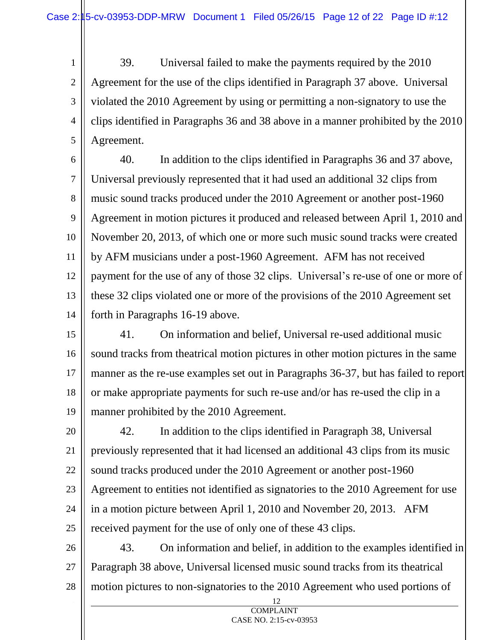1

2

3 4 5 39. Universal failed to make the payments required by the 2010 Agreement for the use of the clips identified in Paragraph 37 above. Universal violated the 2010 Agreement by using or permitting a non-signatory to use the clips identified in Paragraphs 36 and 38 above in a manner prohibited by the 2010 Agreement.

6 7 8 9 10 11 12 13 14 40. In addition to the clips identified in Paragraphs 36 and 37 above, Universal previously represented that it had used an additional 32 clips from music sound tracks produced under the 2010 Agreement or another post-1960 Agreement in motion pictures it produced and released between April 1, 2010 and November 20, 2013, of which one or more such music sound tracks were created by AFM musicians under a post-1960 Agreement. AFM has not received payment for the use of any of those 32 clips. Universal's re-use of one or more of these 32 clips violated one or more of the provisions of the 2010 Agreement set forth in Paragraphs 16-19 above.

15 16 17 18 19 41. On information and belief, Universal re-used additional music sound tracks from theatrical motion pictures in other motion pictures in the same manner as the re-use examples set out in Paragraphs 36-37, but has failed to report or make appropriate payments for such re-use and/or has re-used the clip in a manner prohibited by the 2010 Agreement.

20 21 22 23 24 25 42. In addition to the clips identified in Paragraph 38, Universal previously represented that it had licensed an additional 43 clips from its music sound tracks produced under the 2010 Agreement or another post-1960 Agreement to entities not identified as signatories to the 2010 Agreement for use in a motion picture between April 1, 2010 and November 20, 2013. AFM received payment for the use of only one of these 43 clips.

26 27 28 43. On information and belief, in addition to the examples identified in Paragraph 38 above, Universal licensed music sound tracks from its theatrical motion pictures to non-signatories to the 2010 Agreement who used portions of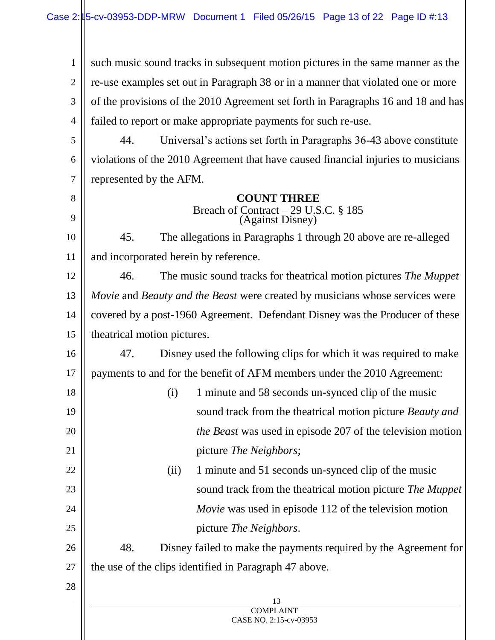1 2 3 4 such music sound tracks in subsequent motion pictures in the same manner as the re-use examples set out in Paragraph 38 or in a manner that violated one or more of the provisions of the 2010 Agreement set forth in Paragraphs 16 and 18 and has failed to report or make appropriate payments for such re-use.

5 6 7 44. Universal's actions set forth in Paragraphs 36-43 above constitute violations of the 2010 Agreement that have caused financial injuries to musicians represented by the AFM.

## **COUNT THREE**

Breach of Contract – 29 U.S.C. § 185 (Against Disney)

10 11 45. The allegations in Paragraphs 1 through 20 above are re-alleged and incorporated herein by reference.

12 13 14 15 46. The music sound tracks for theatrical motion pictures *The Muppet Movie* and *Beauty and the Beast* were created by musicians whose services were covered by a post-1960 Agreement. Defendant Disney was the Producer of these theatrical motion pictures.

16 17 47. Disney used the following clips for which it was required to make payments to and for the benefit of AFM members under the 2010 Agreement:

- 18 19 20 21 (i) 1 minute and 58 seconds un-synced clip of the music sound track from the theatrical motion picture *Beauty and the Beast* was used in episode 207 of the television motion picture *The Neighbors*;
- 22 23 24 25 (ii) 1 minute and 51 seconds un-synced clip of the music sound track from the theatrical motion picture *The Muppet Movie* was used in episode 112 of the television motion picture *The Neighbors*.

26 27 48. Disney failed to make the payments required by the Agreement for the use of the clips identified in Paragraph 47 above.

28

8

9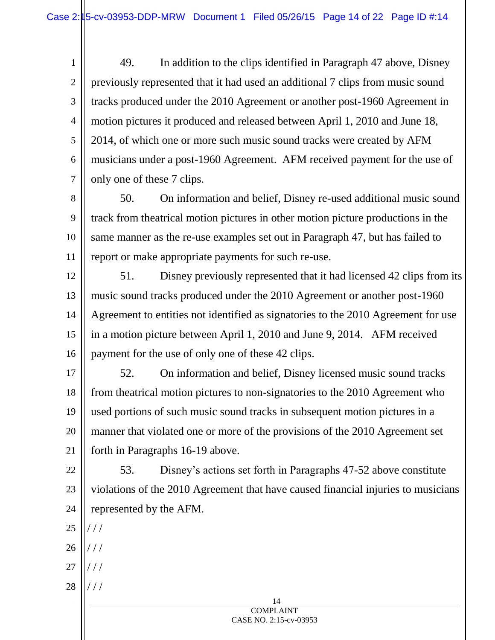1 2 3 4 5 6 7 49. In addition to the clips identified in Paragraph 47 above, Disney previously represented that it had used an additional 7 clips from music sound tracks produced under the 2010 Agreement or another post-1960 Agreement in motion pictures it produced and released between April 1, 2010 and June 18, 2014, of which one or more such music sound tracks were created by AFM musicians under a post-1960 Agreement. AFM received payment for the use of only one of these 7 clips.

8 9 10 11 50. On information and belief, Disney re-used additional music sound track from theatrical motion pictures in other motion picture productions in the same manner as the re-use examples set out in Paragraph 47, but has failed to report or make appropriate payments for such re-use.

12 13 14 15 16 51. Disney previously represented that it had licensed 42 clips from its music sound tracks produced under the 2010 Agreement or another post-1960 Agreement to entities not identified as signatories to the 2010 Agreement for use in a motion picture between April 1, 2010 and June 9, 2014. AFM received payment for the use of only one of these 42 clips.

17 18 19 20 21 52. On information and belief, Disney licensed music sound tracks from theatrical motion pictures to non-signatories to the 2010 Agreement who used portions of such music sound tracks in subsequent motion pictures in a manner that violated one or more of the provisions of the 2010 Agreement set forth in Paragraphs 16-19 above.

22 23 24 53. Disney's actions set forth in Paragraphs 47-52 above constitute violations of the 2010 Agreement that have caused financial injuries to musicians represented by the AFM.

- 25 / / /
- 26 / / /
- 27 / / /
- 28 / / /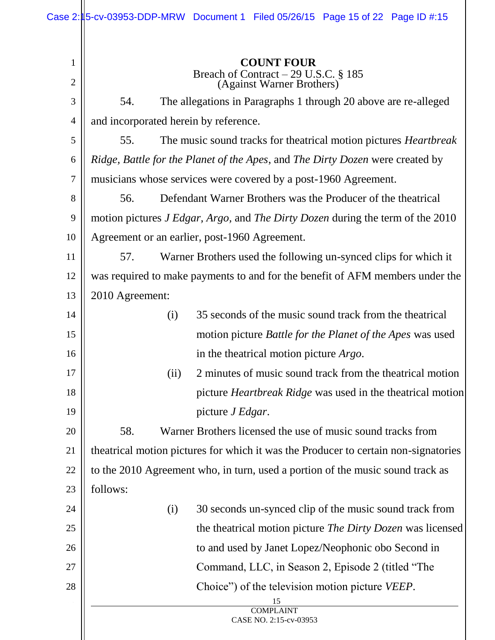| <b>COUNT FOUR</b><br>$\mathbf{1}$<br>Breach of Contract – 29 U.S.C. § 185<br>(Against Warner Brothers)<br>$\overline{2}$<br>The allegations in Paragraphs 1 through 20 above are re-alleged<br>3<br>54.<br>and incorporated herein by reference.<br>$\overline{4}$<br>The music sound tracks for theatrical motion pictures <i>Heartbreak</i><br>5<br>55.<br>Ridge, Battle for the Planet of the Apes, and The Dirty Dozen were created by<br>6<br>musicians whose services were covered by a post-1960 Agreement.<br>$\boldsymbol{7}$<br>Defendant Warner Brothers was the Producer of the theatrical<br>8<br>56.<br>motion pictures <i>J Edgar</i> , <i>Argo</i> , and <i>The Dirty Dozen</i> during the term of the 2010<br>9<br>Agreement or an earlier, post-1960 Agreement.<br>10<br>Warner Brothers used the following un-synced clips for which it<br>11<br>57.<br>was required to make payments to and for the benefit of AFM members under the<br>12<br>2010 Agreement:<br>13<br>35 seconds of the music sound track from the theatrical<br>14<br>(i) |  |
|-----------------------------------------------------------------------------------------------------------------------------------------------------------------------------------------------------------------------------------------------------------------------------------------------------------------------------------------------------------------------------------------------------------------------------------------------------------------------------------------------------------------------------------------------------------------------------------------------------------------------------------------------------------------------------------------------------------------------------------------------------------------------------------------------------------------------------------------------------------------------------------------------------------------------------------------------------------------------------------------------------------------------------------------------------------------|--|
|                                                                                                                                                                                                                                                                                                                                                                                                                                                                                                                                                                                                                                                                                                                                                                                                                                                                                                                                                                                                                                                                 |  |
|                                                                                                                                                                                                                                                                                                                                                                                                                                                                                                                                                                                                                                                                                                                                                                                                                                                                                                                                                                                                                                                                 |  |
|                                                                                                                                                                                                                                                                                                                                                                                                                                                                                                                                                                                                                                                                                                                                                                                                                                                                                                                                                                                                                                                                 |  |
|                                                                                                                                                                                                                                                                                                                                                                                                                                                                                                                                                                                                                                                                                                                                                                                                                                                                                                                                                                                                                                                                 |  |
|                                                                                                                                                                                                                                                                                                                                                                                                                                                                                                                                                                                                                                                                                                                                                                                                                                                                                                                                                                                                                                                                 |  |
|                                                                                                                                                                                                                                                                                                                                                                                                                                                                                                                                                                                                                                                                                                                                                                                                                                                                                                                                                                                                                                                                 |  |
|                                                                                                                                                                                                                                                                                                                                                                                                                                                                                                                                                                                                                                                                                                                                                                                                                                                                                                                                                                                                                                                                 |  |
|                                                                                                                                                                                                                                                                                                                                                                                                                                                                                                                                                                                                                                                                                                                                                                                                                                                                                                                                                                                                                                                                 |  |
|                                                                                                                                                                                                                                                                                                                                                                                                                                                                                                                                                                                                                                                                                                                                                                                                                                                                                                                                                                                                                                                                 |  |
|                                                                                                                                                                                                                                                                                                                                                                                                                                                                                                                                                                                                                                                                                                                                                                                                                                                                                                                                                                                                                                                                 |  |
|                                                                                                                                                                                                                                                                                                                                                                                                                                                                                                                                                                                                                                                                                                                                                                                                                                                                                                                                                                                                                                                                 |  |
|                                                                                                                                                                                                                                                                                                                                                                                                                                                                                                                                                                                                                                                                                                                                                                                                                                                                                                                                                                                                                                                                 |  |
|                                                                                                                                                                                                                                                                                                                                                                                                                                                                                                                                                                                                                                                                                                                                                                                                                                                                                                                                                                                                                                                                 |  |
|                                                                                                                                                                                                                                                                                                                                                                                                                                                                                                                                                                                                                                                                                                                                                                                                                                                                                                                                                                                                                                                                 |  |
| motion picture Battle for the Planet of the Apes was used<br>15                                                                                                                                                                                                                                                                                                                                                                                                                                                                                                                                                                                                                                                                                                                                                                                                                                                                                                                                                                                                 |  |
| in the theatrical motion picture <i>Argo</i> .<br>16                                                                                                                                                                                                                                                                                                                                                                                                                                                                                                                                                                                                                                                                                                                                                                                                                                                                                                                                                                                                            |  |
| 2 minutes of music sound track from the theatrical motion<br>(ii)<br>17                                                                                                                                                                                                                                                                                                                                                                                                                                                                                                                                                                                                                                                                                                                                                                                                                                                                                                                                                                                         |  |
| picture <i>Heartbreak Ridge</i> was used in the theatrical motion<br>18                                                                                                                                                                                                                                                                                                                                                                                                                                                                                                                                                                                                                                                                                                                                                                                                                                                                                                                                                                                         |  |
| 19<br>picture J Edgar.                                                                                                                                                                                                                                                                                                                                                                                                                                                                                                                                                                                                                                                                                                                                                                                                                                                                                                                                                                                                                                          |  |
| 58.<br>Warner Brothers licensed the use of music sound tracks from<br>20                                                                                                                                                                                                                                                                                                                                                                                                                                                                                                                                                                                                                                                                                                                                                                                                                                                                                                                                                                                        |  |
| theatrical motion pictures for which it was the Producer to certain non-signatories                                                                                                                                                                                                                                                                                                                                                                                                                                                                                                                                                                                                                                                                                                                                                                                                                                                                                                                                                                             |  |
| to the 2010 Agreement who, in turn, used a portion of the music sound track as                                                                                                                                                                                                                                                                                                                                                                                                                                                                                                                                                                                                                                                                                                                                                                                                                                                                                                                                                                                  |  |
| follows:<br>23                                                                                                                                                                                                                                                                                                                                                                                                                                                                                                                                                                                                                                                                                                                                                                                                                                                                                                                                                                                                                                                  |  |
| 30 seconds un-synced clip of the music sound track from<br>(i)<br>24                                                                                                                                                                                                                                                                                                                                                                                                                                                                                                                                                                                                                                                                                                                                                                                                                                                                                                                                                                                            |  |
| the theatrical motion picture <i>The Dirty Dozen</i> was licensed<br>25                                                                                                                                                                                                                                                                                                                                                                                                                                                                                                                                                                                                                                                                                                                                                                                                                                                                                                                                                                                         |  |
| to and used by Janet Lopez/Neophonic obo Second in<br>26                                                                                                                                                                                                                                                                                                                                                                                                                                                                                                                                                                                                                                                                                                                                                                                                                                                                                                                                                                                                        |  |
| Command, LLC, in Season 2, Episode 2 (titled "The<br>27                                                                                                                                                                                                                                                                                                                                                                                                                                                                                                                                                                                                                                                                                                                                                                                                                                                                                                                                                                                                         |  |
| Choice" of the television motion picture <i>VEEP</i> .<br>28                                                                                                                                                                                                                                                                                                                                                                                                                                                                                                                                                                                                                                                                                                                                                                                                                                                                                                                                                                                                    |  |
| 15<br><b>COMPLAINT</b>                                                                                                                                                                                                                                                                                                                                                                                                                                                                                                                                                                                                                                                                                                                                                                                                                                                                                                                                                                                                                                          |  |
| CASE NO. 2:15-cv-03953                                                                                                                                                                                                                                                                                                                                                                                                                                                                                                                                                                                                                                                                                                                                                                                                                                                                                                                                                                                                                                          |  |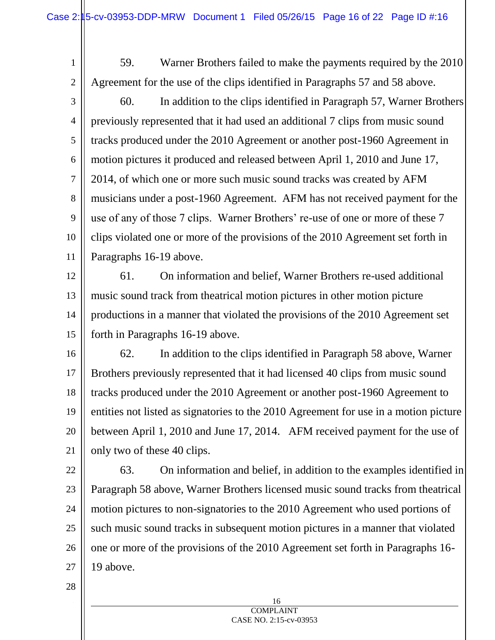1 2 3 4 5 6 7 8 9 10 11 59. Warner Brothers failed to make the payments required by the 2010 Agreement for the use of the clips identified in Paragraphs 57 and 58 above. 60. In addition to the clips identified in Paragraph 57, Warner Brothers previously represented that it had used an additional 7 clips from music sound tracks produced under the 2010 Agreement or another post-1960 Agreement in motion pictures it produced and released between April 1, 2010 and June 17, 2014, of which one or more such music sound tracks was created by AFM musicians under a post-1960 Agreement. AFM has not received payment for the use of any of those 7 clips. Warner Brothers' re-use of one or more of these 7 clips violated one or more of the provisions of the 2010 Agreement set forth in Paragraphs 16-19 above.

12 13 14 15 61. On information and belief, Warner Brothers re-used additional music sound track from theatrical motion pictures in other motion picture productions in a manner that violated the provisions of the 2010 Agreement set forth in Paragraphs 16-19 above.

16 17 18 19 20 21 62. In addition to the clips identified in Paragraph 58 above, Warner Brothers previously represented that it had licensed 40 clips from music sound tracks produced under the 2010 Agreement or another post-1960 Agreement to entities not listed as signatories to the 2010 Agreement for use in a motion picture between April 1, 2010 and June 17, 2014. AFM received payment for the use of only two of these 40 clips.

22 23 24 25 26 27 63. On information and belief, in addition to the examples identified in Paragraph 58 above, Warner Brothers licensed music sound tracks from theatrical motion pictures to non-signatories to the 2010 Agreement who used portions of such music sound tracks in subsequent motion pictures in a manner that violated one or more of the provisions of the 2010 Agreement set forth in Paragraphs 16- 19 above.

> 16 COMPLAINT CASE NO. 2:15-cv-03953

28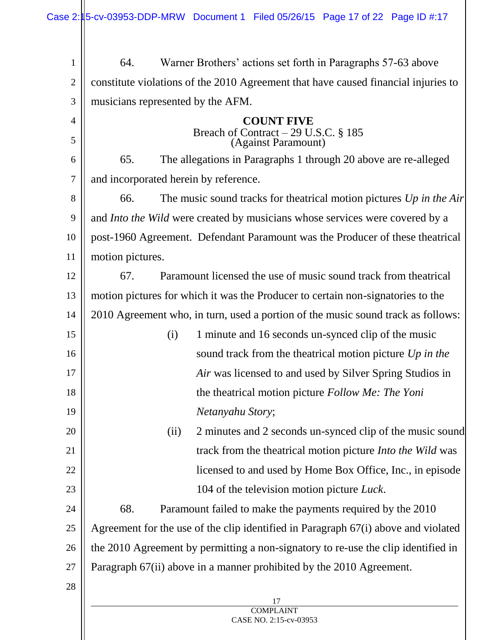17 **COMPLAINT** CASE NO. 2:15-cv-03953 1 2 3 4 5 6 7 8 9 10 11 12 13 14 15 16 17 18 19 20 21 22 23 24 25 26 27 28 64. Warner Brothers' actions set forth in Paragraphs 57-63 above constitute violations of the 2010 Agreement that have caused financial injuries to musicians represented by the AFM. **COUNT FIVE** Breach of Contract – 29 U.S.C. § 185 (Against Paramount) 65. The allegations in Paragraphs 1 through 20 above are re-alleged and incorporated herein by reference. 66. The music sound tracks for theatrical motion pictures *Up in the Air* and *Into the Wild* were created by musicians whose services were covered by a post-1960 Agreement. Defendant Paramount was the Producer of these theatrical motion pictures. 67. Paramount licensed the use of music sound track from theatrical motion pictures for which it was the Producer to certain non-signatories to the 2010 Agreement who, in turn, used a portion of the music sound track as follows: (i) 1 minute and 16 seconds un-synced clip of the music sound track from the theatrical motion picture *Up in the Air* was licensed to and used by Silver Spring Studios in the theatrical motion picture *Follow Me: The Yoni Netanyahu Story*; (ii) 2 minutes and 2 seconds un-synced clip of the music sound track from the theatrical motion picture *Into the Wild* was licensed to and used by Home Box Office, Inc., in episode 104 of the television motion picture *Luck*. 68. Paramount failed to make the payments required by the 2010 Agreement for the use of the clip identified in Paragraph 67(i) above and violated the 2010 Agreement by permitting a non-signatory to re-use the clip identified in Paragraph 67(ii) above in a manner prohibited by the 2010 Agreement.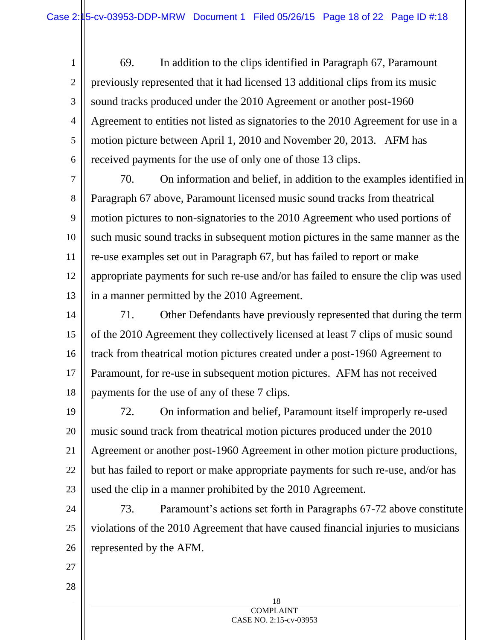1 2 3 4 5 6 69. In addition to the clips identified in Paragraph 67, Paramount previously represented that it had licensed 13 additional clips from its music sound tracks produced under the 2010 Agreement or another post-1960 Agreement to entities not listed as signatories to the 2010 Agreement for use in a motion picture between April 1, 2010 and November 20, 2013. AFM has received payments for the use of only one of those 13 clips.

7 8 9 10 11 12 13 70. On information and belief, in addition to the examples identified in Paragraph 67 above, Paramount licensed music sound tracks from theatrical motion pictures to non-signatories to the 2010 Agreement who used portions of such music sound tracks in subsequent motion pictures in the same manner as the re-use examples set out in Paragraph 67, but has failed to report or make appropriate payments for such re-use and/or has failed to ensure the clip was used in a manner permitted by the 2010 Agreement.

14 15 16 17 18 71. Other Defendants have previously represented that during the term of the 2010 Agreement they collectively licensed at least 7 clips of music sound track from theatrical motion pictures created under a post-1960 Agreement to Paramount, for re-use in subsequent motion pictures. AFM has not received payments for the use of any of these 7 clips.

19 20 21 22 23 72. On information and belief, Paramount itself improperly re-used music sound track from theatrical motion pictures produced under the 2010 Agreement or another post-1960 Agreement in other motion picture productions, but has failed to report or make appropriate payments for such re-use, and/or has used the clip in a manner prohibited by the 2010 Agreement.

24 25 26 73. Paramount's actions set forth in Paragraphs 67-72 above constitute violations of the 2010 Agreement that have caused financial injuries to musicians represented by the AFM.

27

28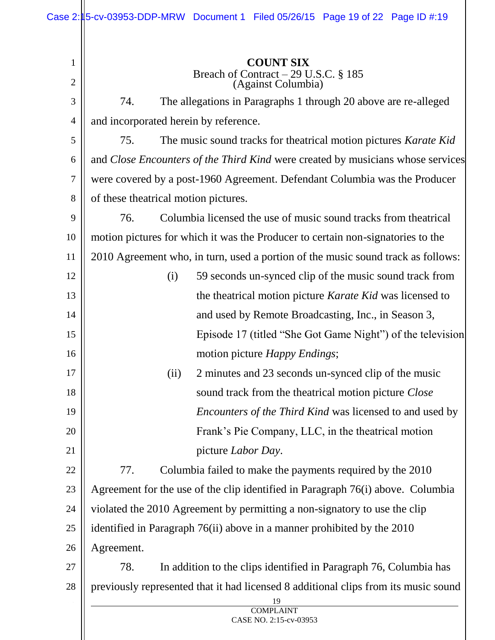| $\mathbf{1}$   | <b>COUNT SIX</b>                                                                    |  |  |
|----------------|-------------------------------------------------------------------------------------|--|--|
| $\overline{2}$ | Breach of Contract – 29 U.S.C. § 185<br>(Against Columbia)                          |  |  |
| 3              | The allegations in Paragraphs 1 through 20 above are re-alleged<br>74.              |  |  |
| $\overline{4}$ | and incorporated herein by reference.                                               |  |  |
| 5              | The music sound tracks for theatrical motion pictures Karate Kid<br>75.             |  |  |
| 6              | and Close Encounters of the Third Kind were created by musicians whose services     |  |  |
| 7              | were covered by a post-1960 Agreement. Defendant Columbia was the Producer          |  |  |
| 8              | of these theatrical motion pictures.                                                |  |  |
| 9              | Columbia licensed the use of music sound tracks from the atrical<br>76.             |  |  |
| 10             | motion pictures for which it was the Producer to certain non-signatories to the     |  |  |
| 11             | 2010 Agreement who, in turn, used a portion of the music sound track as follows:    |  |  |
| 12             | 59 seconds un-synced clip of the music sound track from<br>(i)                      |  |  |
| 13             | the theatrical motion picture Karate Kid was licensed to                            |  |  |
| 14             | and used by Remote Broadcasting, Inc., in Season 3,                                 |  |  |
| 15             | Episode 17 (titled "She Got Game Night") of the television                          |  |  |
| 16             | motion picture <i>Happy Endings</i> ;                                               |  |  |
| 17             | 2 minutes and 23 seconds un-synced clip of the music<br>(ii)                        |  |  |
| 18             | sound track from the theatrical motion picture Close                                |  |  |
| 19             | <i>Encounters of the Third Kind</i> was licensed to and used by                     |  |  |
| 20             | Frank's Pie Company, LLC, in the theatrical motion                                  |  |  |
| 21             | picture <i>Labor Day</i> .                                                          |  |  |
| 22             | 77.<br>Columbia failed to make the payments required by the 2010                    |  |  |
| 23             | Agreement for the use of the clip identified in Paragraph 76(i) above. Columbia     |  |  |
| 24             | violated the 2010 Agreement by permitting a non-signatory to use the clip           |  |  |
| 25             | identified in Paragraph 76(ii) above in a manner prohibited by the 2010             |  |  |
| 26             | Agreement.                                                                          |  |  |
| 27             | 78.<br>In addition to the clips identified in Paragraph 76, Columbia has            |  |  |
| 28             | previously represented that it had licensed 8 additional clips from its music sound |  |  |
|                | 19<br><b>COMPLAINT</b>                                                              |  |  |
|                | CASE NO. 2:15-cv-03953                                                              |  |  |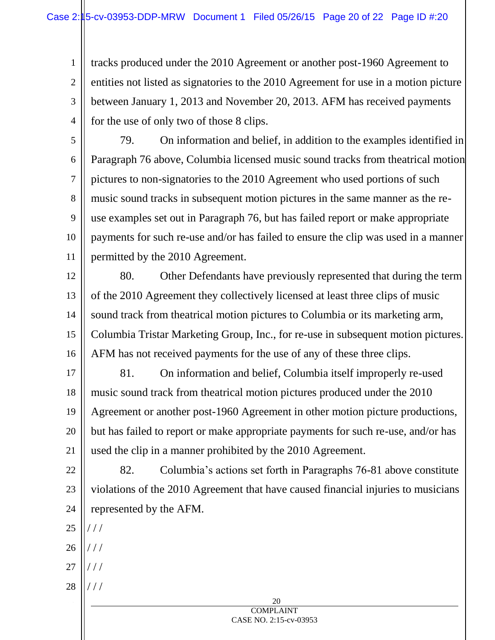tracks produced under the 2010 Agreement or another post-1960 Agreement to entities not listed as signatories to the 2010 Agreement for use in a motion picture between January 1, 2013 and November 20, 2013. AFM has received payments for the use of only two of those 8 clips.

5

4

1

2

3

6 7 8 9 10 11 79. On information and belief, in addition to the examples identified in Paragraph 76 above, Columbia licensed music sound tracks from theatrical motion pictures to non-signatories to the 2010 Agreement who used portions of such music sound tracks in subsequent motion pictures in the same manner as the reuse examples set out in Paragraph 76, but has failed report or make appropriate payments for such re-use and/or has failed to ensure the clip was used in a manner permitted by the 2010 Agreement.

12

13

14

15

16

80. Other Defendants have previously represented that during the term of the 2010 Agreement they collectively licensed at least three clips of music sound track from theatrical motion pictures to Columbia or its marketing arm, Columbia Tristar Marketing Group, Inc., for re-use in subsequent motion pictures. AFM has not received payments for the use of any of these three clips.

17 18 19 20 21 81. On information and belief, Columbia itself improperly re-used music sound track from theatrical motion pictures produced under the 2010 Agreement or another post-1960 Agreement in other motion picture productions, but has failed to report or make appropriate payments for such re-use, and/or has used the clip in a manner prohibited by the 2010 Agreement.

22 23 24 82. Columbia's actions set forth in Paragraphs 76-81 above constitute violations of the 2010 Agreement that have caused financial injuries to musicians represented by the AFM.

- 25 / / /
- 26 / / /
- 27 / / /
- 28 / / /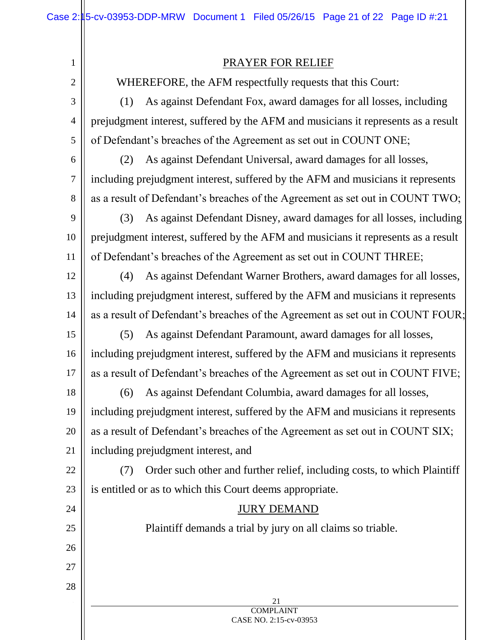## PRAYER FOR RELIEF

WHEREFORE, the AFM respectfully requests that this Court:

(1) As against Defendant Fox, award damages for all losses, including prejudgment interest, suffered by the AFM and musicians it represents as a result of Defendant's breaches of the Agreement as set out in COUNT ONE;

6 7

8

24

25

26

27

28

1

2

3

4

5

(2) As against Defendant Universal, award damages for all losses, including prejudgment interest, suffered by the AFM and musicians it represents as a result of Defendant's breaches of the Agreement as set out in COUNT TWO;

9 10 11 (3) As against Defendant Disney, award damages for all losses, including prejudgment interest, suffered by the AFM and musicians it represents as a result of Defendant's breaches of the Agreement as set out in COUNT THREE;

12 13 14 (4) As against Defendant Warner Brothers, award damages for all losses, including prejudgment interest, suffered by the AFM and musicians it represents as a result of Defendant's breaches of the Agreement as set out in COUNT FOUR;

15 16 17 (5) As against Defendant Paramount, award damages for all losses, including prejudgment interest, suffered by the AFM and musicians it represents as a result of Defendant's breaches of the Agreement as set out in COUNT FIVE;

18 19 20 21 (6) As against Defendant Columbia, award damages for all losses, including prejudgment interest, suffered by the AFM and musicians it represents as a result of Defendant's breaches of the Agreement as set out in COUNT SIX; including prejudgment interest, and

22 23 (7) Order such other and further relief, including costs, to which Plaintiff is entitled or as to which this Court deems appropriate.

## JURY DEMAND

Plaintiff demands a trial by jury on all claims so triable.